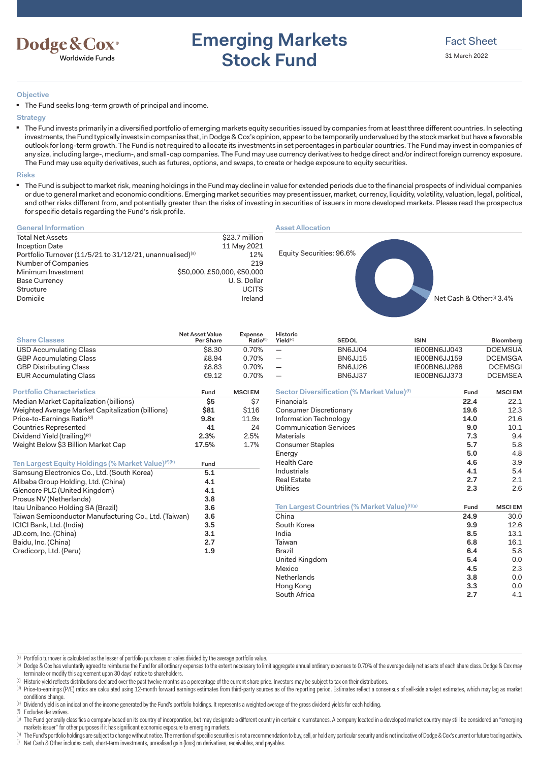

# **Emerging Markets Stock Fund**

### **Objective**

■ The Fund seeks long-term growth of principal and income.

**Strategy**

■ The Fund invests primarily in a diversified portfolio of emerging markets equity securities issued by companies from at least three different countries. In selecting investments, the Fund typically invests in companies that, in Dodge & Cox's opinion, appear to be temporarily undervalued by the stock market but have a favorable outlook for long-term growth. The Fund is not required to allocate its investments in set percentages in particular countries. The Fund may invest in companies of any size, including large-, medium-, and small-cap companies. The Fund may use currency derivatives to hedge direct and/or indirect foreign currency exposure. The Fund may use equity derivatives, such as futures, options, and swaps, to create or hedge exposure to equity securities.

#### **Risks**

■ The Fund is subject to market risk, meaning holdings in the Fund may decline in value for extended periods due to the financial prospects of individual companies or due to general market and economic conditions. Emerging market securities may present issuer, market, currency, liquidity, volatility, valuation, legal, political, and other risks different from, and potentially greater than the risks of investing in securities of issuers in more developed markets. Please read the prospectus for specific details regarding the Fund's risk profile.

**Historic**<br>Yield<sup>(c)</sup>

### **General Information**

| <b>Total Net Assets</b>                                               | \$23.7 million             |
|-----------------------------------------------------------------------|----------------------------|
| Inception Date                                                        | 11 May 2021                |
| Portfolio Turnover (11/5/21 to 31/12/21, unannualised) <sup>(a)</sup> | 12%                        |
| Number of Companies                                                   | 219                        |
| Minimum Investment                                                    | \$50,000, £50,000, €50,000 |
| <b>Base Currency</b>                                                  | U.S. Dollar                |
| Structure                                                             | <b>UCITS</b>               |
| Domicile                                                              | Ireland                    |
|                                                                       |                            |



| <b>Share Classes</b>                                           | <b>Net Asset value</b><br>Per Share | Expense<br>Ratio <sup>(b)</sup> | <b>HISTORIC</b><br>Yield <sup>(c)</sup> | <b>SEDOL</b>                                             | <b>ISIN</b>  | Bloomberg       |
|----------------------------------------------------------------|-------------------------------------|---------------------------------|-----------------------------------------|----------------------------------------------------------|--------------|-----------------|
| <b>USD Accumulating Class</b>                                  | \$8.30                              | 0.70%                           |                                         | BN6JJ04                                                  | IE00BN6JJ043 | <b>DOEMSUA</b>  |
| <b>GBP Accumulating Class</b>                                  | £8.94                               | 0.70%                           |                                         | BN6JJ15                                                  | IE00BN6JJ159 | <b>DCEMSGA</b>  |
| <b>GBP Distributing Class</b>                                  | £8.83                               | 0.70%                           | $\overline{\phantom{0}}$                | BN6JJ26                                                  | IE00BN6JJ266 | <b>DCEMSG</b>   |
| <b>EUR Accumulating Class</b>                                  | € $9.12$                            | 0.70%                           |                                         | BN6JJ37                                                  | IE00BN6JJ373 | <b>DCEMSEA</b>  |
| <b>Portfolio Characteristics</b>                               | Fund                                | <b>MSCIEM</b>                   |                                         | Sector Diversification (% Market Value) <sup>(f)</sup>   | Fund         | <b>MSCIEM</b>   |
| Median Market Capitalization (billions)                        | \$5                                 | \$7                             | Financials                              |                                                          | 22.4         | 22.1            |
| Weighted Average Market Capitalization (billions)              | \$81                                | \$116                           |                                         | <b>Consumer Discretionary</b>                            | 19.6         | 12.3            |
| Price-to-Earnings Ratio <sup>(d)</sup>                         | 9.8x                                | 11.9x                           | Information Technology                  |                                                          | 14.0         | 21.6            |
| <b>Countries Represented</b>                                   | 41                                  | 24                              |                                         | <b>Communication Services</b>                            | 9.0          | 10.1            |
| Dividend Yield (trailing) <sup>(e)</sup>                       | 2.3%                                | 2.5%                            | <b>Materials</b>                        |                                                          | 7.3          | 9.4             |
| Weight Below \$3 Billion Market Cap                            | 17.5%                               | 1.7%                            | Consumer Staples                        |                                                          | 5.7          | 5.8             |
|                                                                |                                     |                                 | Energy                                  |                                                          | 5.0          | 4.8             |
| Ten Largest Equity Holdings (% Market Value) <sup>(f)(h)</sup> | Fund                                |                                 | <b>Health Care</b>                      |                                                          | 4.6          | 3.9             |
| Samsung Electronics Co., Ltd. (South Korea)                    | 5.1                                 |                                 | Industrials                             |                                                          | 4.1          | 5.4             |
| Alibaba Group Holding, Ltd. (China)                            | 4.1                                 |                                 | <b>Real Estate</b>                      |                                                          | 2.7          | 2.1             |
| Glencore PLC (United Kingdom)                                  | 4.1                                 |                                 | <b>Utilities</b>                        |                                                          | 2.3          | 2.6             |
| Prosus NV (Netherlands)                                        | 3.8                                 |                                 |                                         |                                                          |              |                 |
| Itau Unibanco Holding SA (Brazil)                              | 3.6                                 |                                 |                                         | Ten Largest Countries (% Market Value) <sup>(f)(g)</sup> | Fund         | <b>MSCIEM</b>   |
| Taiwan Semiconductor Manufacturing Co., Ltd. (Taiwan)          | 3.6                                 |                                 | China                                   |                                                          | 24.9         | 30 <sub>c</sub> |
| ICICI Bank, Ltd. (India)                                       | 3.5                                 |                                 | South Korea                             |                                                          | 9.9          | 12.6            |
| JD.com, Inc. (China)                                           | 3.1                                 |                                 | India                                   |                                                          | 8.5          | 13.1            |
| Baidu, Inc. (China)                                            | 2.7                                 |                                 | Taiwan                                  |                                                          | 6.8          | 16.1            |
| Credicorp, Ltd. (Peru)                                         | 1.9                                 |                                 | <b>Brazil</b>                           |                                                          | 6.4          | 5.8             |
|                                                                |                                     |                                 | United Kingdom                          |                                                          | 5.4          | 0. <sub>C</sub> |
|                                                                |                                     |                                 | Mevico                                  |                                                          | <b>45</b>    | つつ              |

| <b>EUR Accumulating Class</b>                                 | €9.12 | 0.70%         |                               | BN6JJ37                                                | IE00BN6JJ373 | <b>DCEMSEA</b> |
|---------------------------------------------------------------|-------|---------------|-------------------------------|--------------------------------------------------------|--------------|----------------|
| <b><u>Ortfolio Characteristics</u></b>                        | Fund  | <b>MSCIEM</b> |                               | Sector Diversification (% Market Value) <sup>(f)</sup> | Fund         | <b>MSCIEM</b>  |
| Aedian Market Capitalization (billions)                       | \$5   | \$7           | Financials                    |                                                        | 22.4         | 22.1           |
| Veighted Average Market Capitalization (billions)             | \$81  | \$116         | <b>Consumer Discretionary</b> |                                                        | 19.6         | 12.3           |
| 'rice-to-Earnings Ratio <sup>(d)</sup>                        | 9.8x  | 11.9x         | Information Technology        |                                                        | 14.0         | 21.6           |
| ountries Represented`                                         | 41    | 24            | <b>Communication Services</b> |                                                        | 9.0          | 10.1           |
| ividend Yield (trailing)®                                     | 2.3%  | 2.5%          | Materials                     |                                                        | 7.3          | 9.4            |
| Veight Below \$3 Billion Market Cap                           | 17.5% | 1.7%          | <b>Consumer Staples</b>       |                                                        | 5.7          | 5.8            |
|                                                               |       |               | Energy                        |                                                        | 5.0          | 4.8            |
| en Largest Equity Holdings (% Market Value) <sup>(f)(h)</sup> | Fund  |               | <b>Health Care</b>            |                                                        | 4.6          | 3.9            |
| amsung Electronics Co., Ltd. (South Korea)                    | 5.1   |               | Industrials                   |                                                        | 4.1          | 5.4            |
| libaba Group Holding, Ltd. (China).                           | 4.1   |               | <b>Real Estate</b>            |                                                        | 2.7          | 2.1            |
| ilencore PLC (United Kingdom)                                 | 4.1   |               | Utilities                     |                                                        | 2.3          | 2.6            |
| rosus NV (Netherlands)                                        | 3.8   |               |                               |                                                        |              |                |
| au Unibanco Holding SA (Brazil)                               | 3.6   |               |                               | Ten Largest Countries (% Market Value)(f)(g)           | Fund         | <b>MSCIEM</b>  |
| aiwan Semiconductor Manufacturing Co., Ltd. (Taiwan)          | 3.6   |               | China                         |                                                        | 24.9         | 30.0           |
| CICI Bank, Ltd. (India)                                       | 3.5   |               | South Korea                   |                                                        | 9.9          | 12.6           |
| D.com, Inc. (China)                                           | 3.1   |               | India                         |                                                        | 8.5          | 13.1           |
| aidu, Inc. (China)                                            | 2.7   |               | Taiwan                        |                                                        | 6.8          | 16.1           |
| redicorp, Ltd. (Peru)                                         | 1.9   |               | Brazil                        |                                                        | 6.4          | 5.8            |
|                                                               |       |               | United Kingdom                |                                                        | 5.4          | 0.0            |
|                                                               |       |               | Mexico                        |                                                        | 4.5          | 2.3            |
|                                                               |       |               | Netherlands                   |                                                        | 3.8          | 0.0            |
|                                                               |       |               | Hong Kong                     |                                                        | 3.3          | 0.0            |
|                                                               |       |               | South Africa                  |                                                        | 2.7          | 4.1            |

(a) Portfolio turnover is calculated as the lesser of portfolio purchases or sales divided by the average portfolio value.

(b) Dodge & Cox has voluntarily agreed to reimburse the Fund for all ordinary expenses to the extent necessary to limit aggregate annual ordinary expenses to 0.70% of the average daily net assets of each share class. Dodge terminate or modify this agreement upon 30 days' notice to shareholders.

(c) Historic yield reflects distributions declared over the past twelve months as a percentage of the current share price. Investors may be subject to tax on their distributions.

(d) Price-to-earnings (P/E) ratios are calculated using 12-month forward earnings estimates from third-party sources as of the reporting period. Estimates reflect a consensus of sell-side analyst estimates, which may lag a conditions change.

(e) Dividend yield is an indication of the income generated by the Fund's portfolio holdings. It represents a weighted average of the gross dividend yields for each holding.

(f) Excludes derivatives. (a) The Fund generally classifies a company based on its country of incorporation, but may designate a different country in certain circumstances. A company located in a developed market country may still be considered an markets issuer" for other purposes if it has significant economic exposure to emerging markets.

(h) The Fund's portfolio holdings are subject to change without notice. The mention of specific securities is not a recommendation to buy, sell, or hold any particular security and is not indicative of Dodge & Cox's curren (i) Net Cash & Other includes cash, short-term investments, unrealised gain (loss) on derivatives, receivables, and payables.